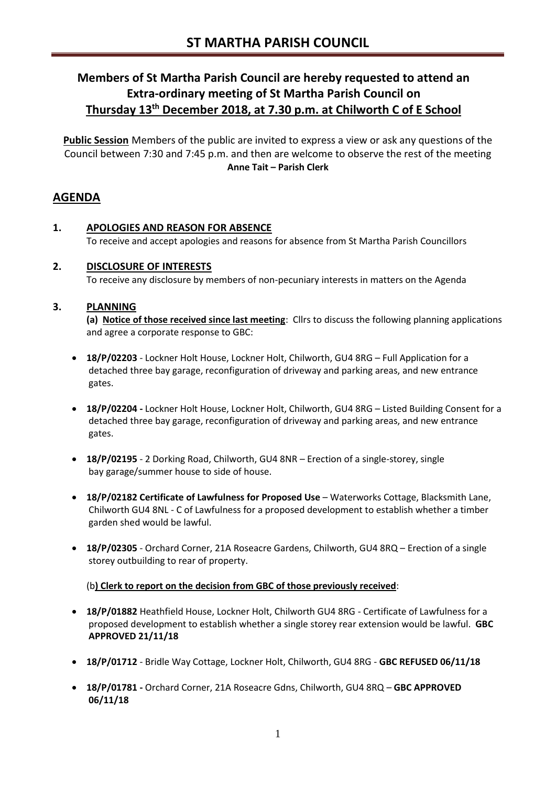# **Members of St Martha Parish Council are hereby requested to attend an Extra-ordinary meeting of St Martha Parish Council on Thursday 13th December 2018, at 7.30 p.m. at Chilworth C of E School**

**Public Session** Members of the public are invited to express a view or ask any questions of the Council between 7:30 and 7:45 p.m. and then are welcome to observe the rest of the meeting **Anne Tait – Parish Clerk**

# **AGENDA**

**1. APOLOGIES AND REASON FOR ABSENCE** To receive and accept apologies and reasons for absence from St Martha Parish Councillors

# **2. DISCLOSURE OF INTERESTS**

To receive any disclosure by members of non-pecuniary interests in matters on the Agenda

# **3. PLANNING**

**(a) Notice of those received since last meeting**: Cllrs to discuss the following planning applications and agree a corporate response to GBC:

- **18/P/02203** Lockner Holt House, Lockner Holt, Chilworth, GU4 8RG Full Application for a detached three bay garage, reconfiguration of driveway and parking areas, and new entrance gates.
- **18/P/02204 -** Lockner Holt House, Lockner Holt, Chilworth, GU4 8RG Listed Building Consent for a detached three bay garage, reconfiguration of driveway and parking areas, and new entrance gates.
- **18/P/02195** 2 Dorking Road, Chilworth, GU4 8NR Erection of a single-storey, single bay garage/summer house to side of house.
- **18/P/02182 Certificate of Lawfulness for Proposed Use** Waterworks Cottage, Blacksmith Lane, Chilworth GU4 8NL - C of Lawfulness for a proposed development to establish whether a timber garden shed would be lawful.
- **18/P/02305** Orchard Corner, 21A Roseacre Gardens, Chilworth, GU4 8RQ Erection of a single storey outbuilding to rear of property.

#### (b**) Clerk to report on the decision from GBC of those previously received**:

- **18/P/01882** Heathfield House, Lockner Holt, Chilworth GU4 8RG Certificate of Lawfulness for a proposed development to establish whether a single storey rear extension would be lawful. **GBC APPROVED 21/11/18**
- **18/P/01712** Bridle Way Cottage, Lockner Holt, Chilworth, GU4 8RG **GBC REFUSED 06/11/18**
- **18/P/01781 -** Orchard Corner, 21A Roseacre Gdns, Chilworth, GU4 8RQ **GBC APPROVED 06/11/18**